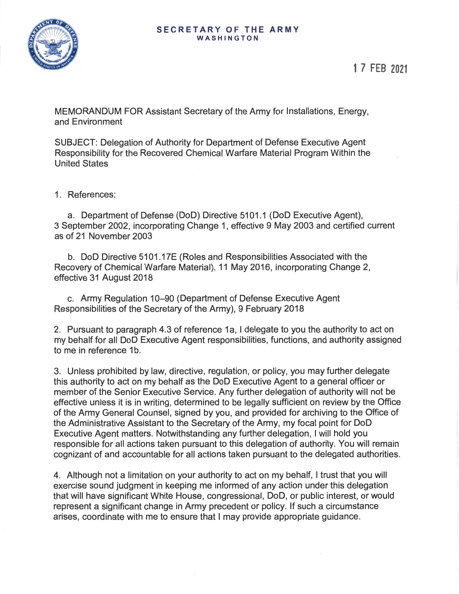

MEMORANDUM FOR Assistant Secretary of the Army for Installations, Energy, and Environment

SUBJECT: Delegation of Authority for Department of Defense Executive Agent Responsibility for the Recovered Chemical Warfare Material Program Within the United States

1. References:

a. Department of Defense (DoD) Directive 5101.1 (DoD Executive Agent), 3 September 2002, incorporating Change 1, effective 9 May 2003 and certified current as of 21 November 2003

b. DoD Directive 5101.17E (Roles and Responsibilities Associated with the Recovery of Chemical Warfare Material), 11 May 2016, incorporating Change 2, effective 31 August 2018

c. Army Regulation 10-90 (Department of Defense Executive Agent Responsibilities of the Secretary of the Army), 9 February 2018

2. Pursuant to paragraph 4.3 of reference 1 a, I delegate to you the authority to act on my behalf for all DoD Executive Agent responsibilities, functions, and authority assigned to me in reference 1b.

3. Unless prohibited by law, directive, regulation, or policy, you may further delegate this authority to act on my behalf as the DoD Executive Agent to a general officer or member of the Senior Executive Service. Any further delegation of authority will not be effective unless it is in writing, determined to be legally sufficient on review by the Office of the Army General Counsel, signed by you, and provided for archiving to the Office of the Administrative Assistant to the Secretary of the Army, my focal point for DoD Executive Agent matters. Notwithstanding any further delegation, I will hold you responsible for all actions taken pursuant to this delegation of authority. You will remain cognizant of and accountable for all actions taken pursuant to the delegated authorities.

4. Although not a limitation on your authority to act on my behalf, I trust that you will exercise sound judgment in keeping me informed of any action under this delegation that will have significant White House, congressional, DoD, or public interest, or would represent a significant change in Army precedent or policy. If such a circumstance arises, coordinate with me to ensure that I may provide appropriate guidance.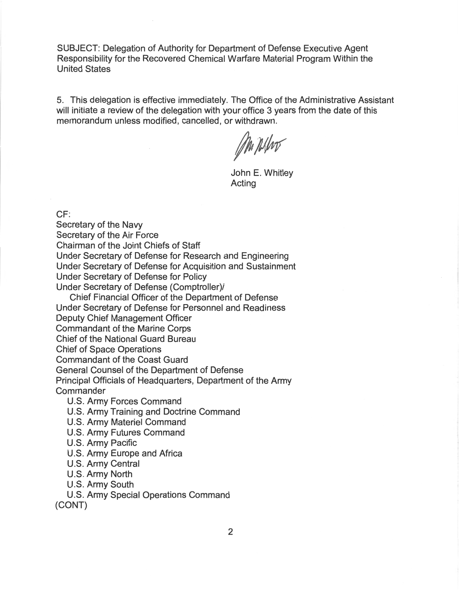SUBJECT: Delegation of Authority for Department of Defense Executive Agent Responsibility for the Recovered Chemical Warfare Material Program Within the United States

5. This delegation is effective immediately. The Office of the Administrative Assistant will initiate a review of the delegation with your office 3 years from the date of this memorandum unless modified, cancelled, or withdrawn.

Ma pilho

John E. Whitley Acting

CF:

Secretary of the Navy Secretary of the Air Force Chairman of the Joint Chiefs of Staff Under Secretary of Defense for Research and Engineering Under Secretary of Defense for Acquisition and Sustainment Under Secretary of Defense for Policy Under Secretary of Defense (Comptroller)/ Chief Financial Officer of the Department of Defense Under Secretary of Defense for Personnel and Readiness Deputy Chief Management Officer Commandant of the Marine Corps Chief of the National Guard Bureau Chief of Space Operations Commandant of the Coast Guard General Counsel of the Department of Defense Principal Officials of Headquarters, Department of the Army **Commander** U.S. Army Forces Command U.S. Army Training and Doctrine Command

- U.S. Army Materiel Command
- U.S. Army Futures Command
- U.S. Army Pacific
- U.S. Army Europe and Africa
- U.S. Army Central
- U.S. Army North
- U.S. Army South
- U.S. Army Special Operations Command (CONT)